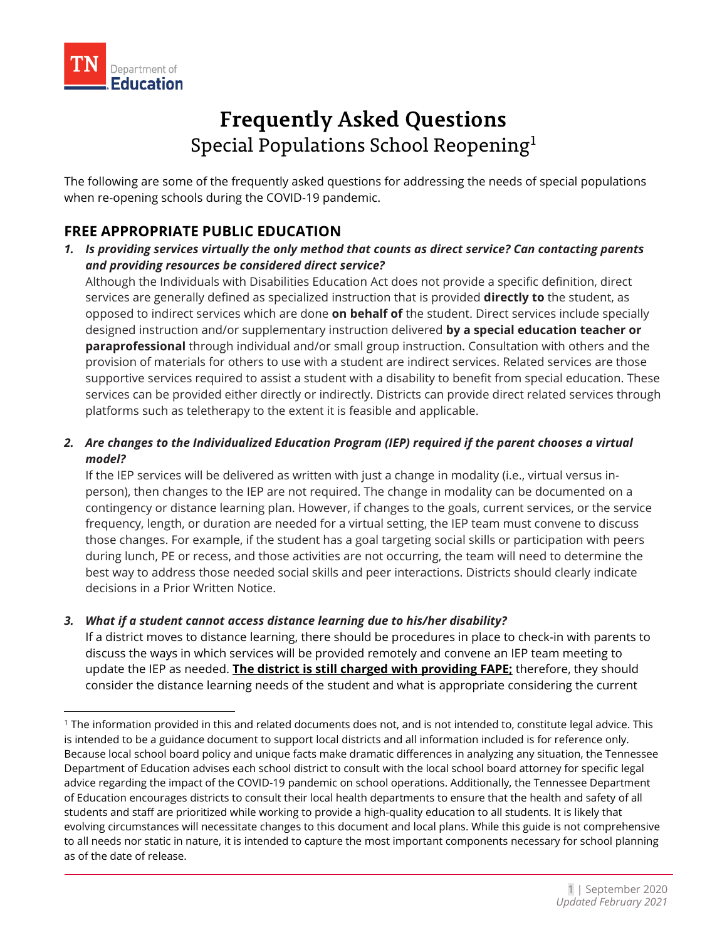

# **Frequently Asked Questions** Special Populations School Reopening<sup>[1](#page-0-0)</sup>

The following are some of the frequently asked questions for addressing the needs of special populations when re-opening schools during the COVID-19 pandemic.

# **FREE APPROPRIATE PUBLIC EDUCATION**

*1. Is providing services virtually the only method that counts as direct service? Can contacting parents and providing resources be considered direct service?* 

Although the Individuals with Disabilities Education Act does not provide a specific definition, direct services are generally defined as specialized instruction that is provided **directly to** the student, as opposed to indirect services which are done **on behalf of** the student. Direct services include specially designed instruction and/or supplementary instruction delivered **by a special education teacher or paraprofessional** through individual and/or small group instruction. Consultation with others and the provision of materials for others to use with a student are indirect services. Related services are those supportive services required to assist a student with a disability to benefit from special education. These services can be provided either directly or indirectly. Districts can provide direct related services through platforms such as teletherapy to the extent it is feasible and applicable.

# *2. Are changes to the Individualized Education Program (IEP) required if the parent chooses a virtual model?*

If the IEP services will be delivered as written with just a change in modality (i.e., virtual versus inperson), then changes to the IEP are not required. The change in modality can be documented on a contingency or distance learning plan. However, if changes to the goals, current services, or the service frequency, length, or duration are needed for a virtual setting, the IEP team must convene to discuss those changes. For example, if the student has a goal targeting social skills or participation with peers during lunch, PE or recess, and those activities are not occurring, the team will need to determine the best way to address those needed social skills and peer interactions. Districts should clearly indicate decisions in a Prior Written Notice.

# *3. What if a student cannot access distance learning due to his/her disability?*

If a district moves to distance learning, there should be procedures in place to check-in with parents to discuss the ways in which services will be provided remotely and convene an IEP team meeting to update the IEP as needed. **The district is still charged with providing FAPE;** therefore, they should consider the distance learning needs of the student and what is appropriate considering the current

<span id="page-0-0"></span><sup>1</sup> The information provided in this and related documents does not, and is not intended to, constitute legal advice. This is intended to be a guidance document to support local districts and all information included is for reference only. Because local school board policy and unique facts make dramatic differences in analyzing any situation, the Tennessee Department of Education advises each school district to consult with the local school board attorney for specific legal advice regarding the impact of the COVID-19 pandemic on school operations. Additionally, the Tennessee Department of Education encourages districts to consult their local health departments to ensure that the health and safety of all students and staff are prioritized while working to provide a high-quality education to all students. It is likely that evolving circumstances will necessitate changes to this document and local plans. While this guide is not comprehensive to all needs nor static in nature, it is intended to capture the most important components necessary for school planning as of the date of release.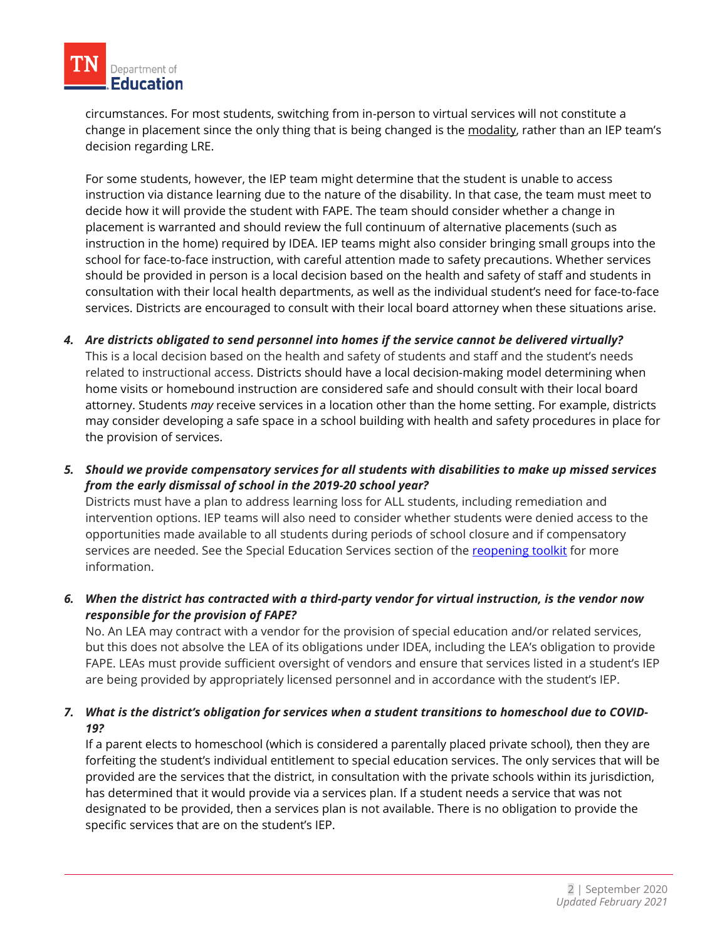

circumstances. For most students, switching from in-person to virtual services will not constitute a change in placement since the only thing that is being changed is the modality, rather than an IEP team's decision regarding LRE.

For some students, however, the IEP team might determine that the student is unable to access instruction via distance learning due to the nature of the disability. In that case, the team must meet to decide how it will provide the student with FAPE. The team should consider whether a change in placement is warranted and should review the full continuum of alternative placements (such as instruction in the home) required by IDEA. IEP teams might also consider bringing small groups into the school for face-to-face instruction, with careful attention made to safety precautions. Whether services should be provided in person is a local decision based on the health and safety of staff and students in consultation with their local health departments, as well as the individual student's need for face-to-face services. Districts are encouraged to consult with their local board attorney when these situations arise.

- *4. Are districts obligated to send personnel into homes if the service cannot be delivered virtually?* This is a local decision based on the health and safety of students and staff and the student's needs related to instructional access. Districts should have a local decision-making model determining when home visits or homebound instruction are considered safe and should consult with their local board attorney. Students *may* receive services in a location other than the home setting. For example, districts may consider developing a safe space in a school building with health and safety procedures in place for the provision of services.
- *5. Should we provide compensatory services for all students with disabilities to make up missed services from the early dismissal of school in the 2019-20 school year?*

Districts must have a plan to address learning loss for ALL students, including remediation and intervention options. IEP teams will also need to consider whether students were denied access to the opportunities made available to all students during periods of school closure and if compensatory services are needed. See the Special Education Services section of the [reopening toolkit](https://www.tn.gov/content/dam/tn/education/health-&-safety/Special%20Populations.pdf) for more information.

# *6. When the district has contracted with a third-party vendor for virtual instruction, is the vendor now responsible for the provision of FAPE?*

No. An LEA may contract with a vendor for the provision of special education and/or related services, but this does not absolve the LEA of its obligations under IDEA, including the LEA's obligation to provide FAPE. LEAs must provide sufficient oversight of vendors and ensure that services listed in a student's IEP are being provided by appropriately licensed personnel and in accordance with the student's IEP.

# *7. What is the district's obligation for services when a student transitions to homeschool due to COVID-19?*

If a parent elects to homeschool (which is considered a parentally placed private school), then they are forfeiting the student's individual entitlement to special education services. The only services that will be provided are the services that the district, in consultation with the private schools within its jurisdiction, has determined that it would provide via a services plan. If a student needs a service that was not designated to be provided, then a services plan is not available. There is no obligation to provide the specific services that are on the student's IEP.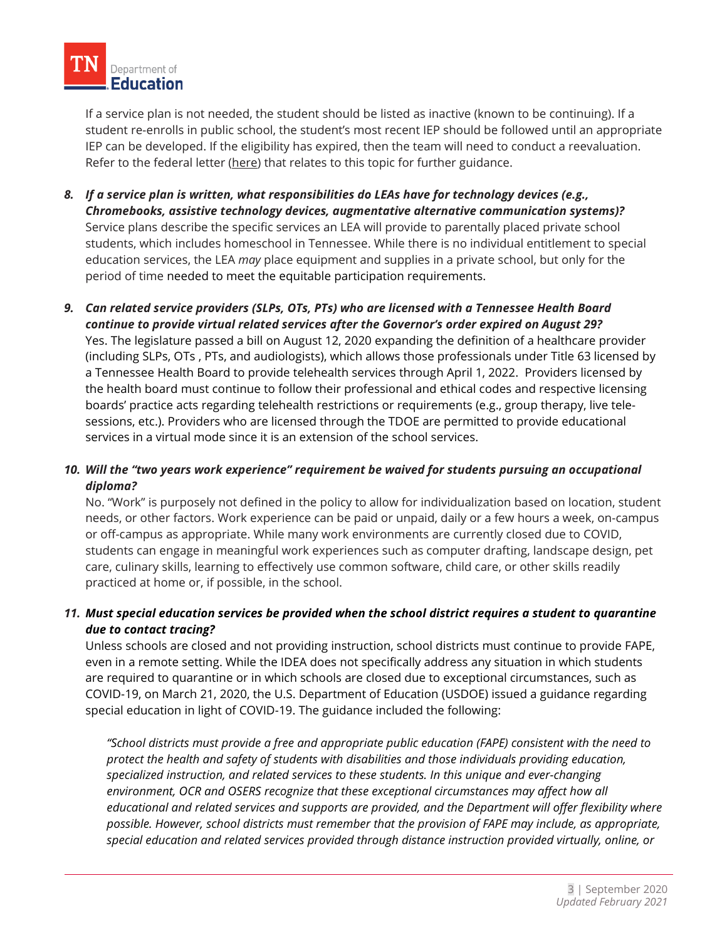If a service plan is not needed, the student should be listed as inactive (known to be continuing). If a student re-enrolls in public school, the student's most recent IEP should be followed until an appropriate IEP can be developed. If the eligibility has expired, then the team will need to conduct a reevaluation. Refer to the federal letter [\(here\)](https://sites.ed.gov/idea/files/idea/policy/speced/guid/idea/letters/2009-1/goldman032609privateschool1q2009.pdf) that relates to this topic for further guidance.

- *8. If a service plan is written, what responsibilities do LEAs have for technology devices (e.g., Chromebooks, assistive technology devices, augmentative alternative communication systems)?*  Service plans describe the specific services an LEA will provide to parentally placed private school students, which includes homeschool in Tennessee. While there is no individual entitlement to special education services, the LEA *may* place equipment and supplies in a private school, but only for the period of time needed to meet the equitable participation requirements.
- *9. Can related service providers (SLPs, OTs, PTs) who are licensed with a Tennessee Health Board continue to provide virtual related services after the Governor's order expired on August 29?*  Yes. The legislature passed a bill on August 12, 2020 expanding the definition of a healthcare provider (including SLPs, OTs , PTs, and audiologists), which allows those professionals under Title 63 licensed by a Tennessee Health Board to provide telehealth services through April 1, 2022. Providers licensed by the health board must continue to follow their professional and ethical codes and respective licensing boards' practice acts regarding telehealth restrictions or requirements (e.g., group therapy, live telesessions, etc.). Providers who are licensed through the TDOE are permitted to provide educational services in a virtual mode since it is an extension of the school services.

# *10. Will the "two years work experience" requirement be waived for students pursuing an occupational diploma?*

No. "Work" is purposely not defined in the policy to allow for individualization based on location, student needs, or other factors. Work experience can be paid or unpaid, daily or a few hours a week, on-campus or off-campus as appropriate. While many work environments are currently closed due to COVID, students can engage in meaningful work experiences such as computer drafting, landscape design, pet care, culinary skills, learning to effectively use common software, child care, or other skills readily practiced at home or, if possible, in the school.

# *11. Must special education services be provided when the school district requires a student to quarantine due to contact tracing?*

Unless schools are closed and not providing instruction, school districts must continue to provide FAPE, even in a remote setting. While the IDEA does not specifically address any situation in which students are required to quarantine or in which schools are closed due to exceptional circumstances, such as COVID-19, on March 21, 2020, the U.S. Department of Education (USDOE) issued a guidance regarding special education in light of COVID-19. The guidance included the following:

*"School districts must provide a free and appropriate public education (FAPE) consistent with the need to protect the health and safety of students with disabilities and those individuals providing education, specialized instruction, and related services to these students. In this unique and ever-changing environment, OCR and OSERS recognize that these exceptional circumstances may affect how all educational and related services and supports are provided, and the Department will offer flexibility where possible. However, school districts must remember that the provision of FAPE may include, as appropriate, special education and related services provided through distance instruction provided virtually, online, or*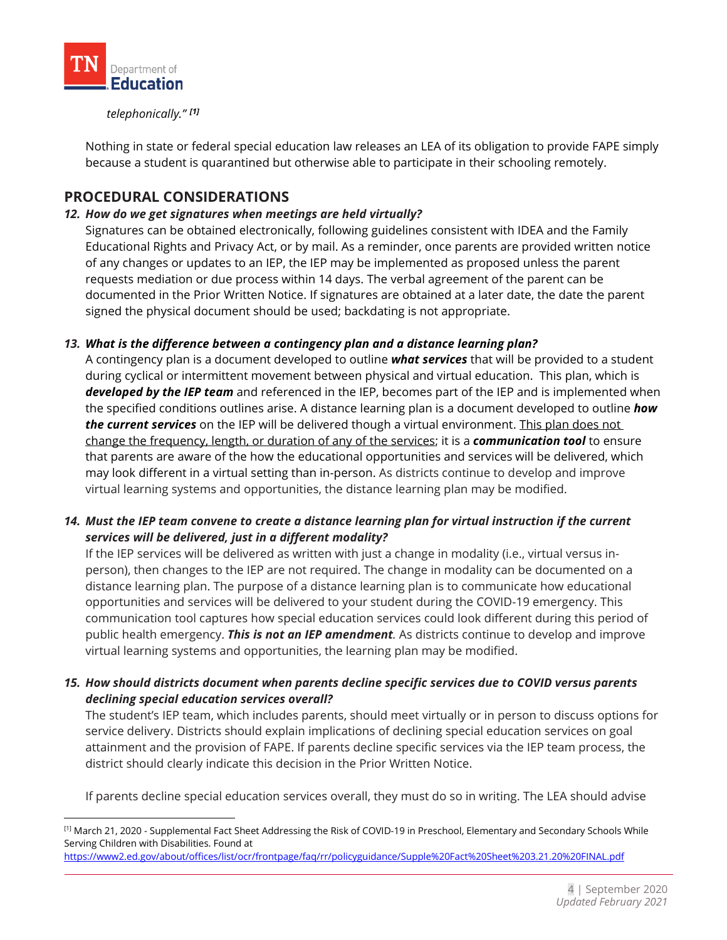

#### *telephonically." [\[1\]](#page-3-0)*

Nothing in state or federal special education law releases an LEA of its obligation to provide FAPE simply because a student is quarantined but otherwise able to participate in their schooling remotely.

# **PROCEDURAL CONSIDERATIONS**

#### *12. How do we get signatures when meetings are held virtually?*

Signatures can be obtained electronically, following guidelines consistent with IDEA and the Family Educational Rights and Privacy Act, or by mail. As a reminder, once parents are provided written notice of any changes or updates to an IEP, the IEP may be implemented as proposed unless the parent requests mediation or due process within 14 days. The verbal agreement of the parent can be documented in the Prior Written Notice. If signatures are obtained at a later date, the date the parent signed the physical document should be used; backdating is not appropriate.

#### *13. What is the difference between a contingency plan and a distance learning plan?*

A contingency plan is a document developed to outline *what services* that will be provided to a student during cyclical or intermittent movement between physical and virtual education. This plan, which is *developed by the IEP team* and referenced in the IEP, becomes part of the IEP and is implemented when the specified conditions outlines arise. A distance learning plan is a document developed to outline *how the current services* on the IEP will be delivered though a virtual environment. This plan does not change the frequency, length, or duration of any of the services; it is a *communication tool* to ensure that parents are aware of the how the educational opportunities and services will be delivered, which may look different in a virtual setting than in-person. As districts continue to develop and improve virtual learning systems and opportunities, the distance learning plan may be modified.

# *14. Must the IEP team convene to create a distance learning plan for virtual instruction if the current services will be delivered, just in a different modality?*

If the IEP services will be delivered as written with just a change in modality (i.e., virtual versus inperson), then changes to the IEP are not required. The change in modality can be documented on a distance learning plan. The purpose of a distance learning plan is to communicate how educational opportunities and services will be delivered to your student during the COVID-19 emergency. This communication tool captures how special education services could look different during this period of public health emergency. *This is not an IEP amendment.* As districts continue to develop and improve virtual learning systems and opportunities, the learning plan may be modified.

#### *15. How should districts document when parents decline specific services due to COVID versus parents declining special education services overall?*

The student's IEP team, which includes parents, should meet virtually or in person to discuss options for service delivery. Districts should explain implications of declining special education services on goal attainment and the provision of FAPE. If parents decline specific services via the IEP team process, the district should clearly indicate this decision in the Prior Written Notice.

If parents decline special education services overall, they must do so in writing. The LEA should advise

<span id="page-3-0"></span><sup>[1]</sup> March 21, 2020 - Supplemental Fact Sheet Addressing the Risk of COVID-19 in Preschool, Elementary and Secondary Schools While Serving Children with Disabilities. Found at

<https://www2.ed.gov/about/offices/list/ocr/frontpage/faq/rr/policyguidance/Supple%20Fact%20Sheet%203.21.20%20FINAL.pdf>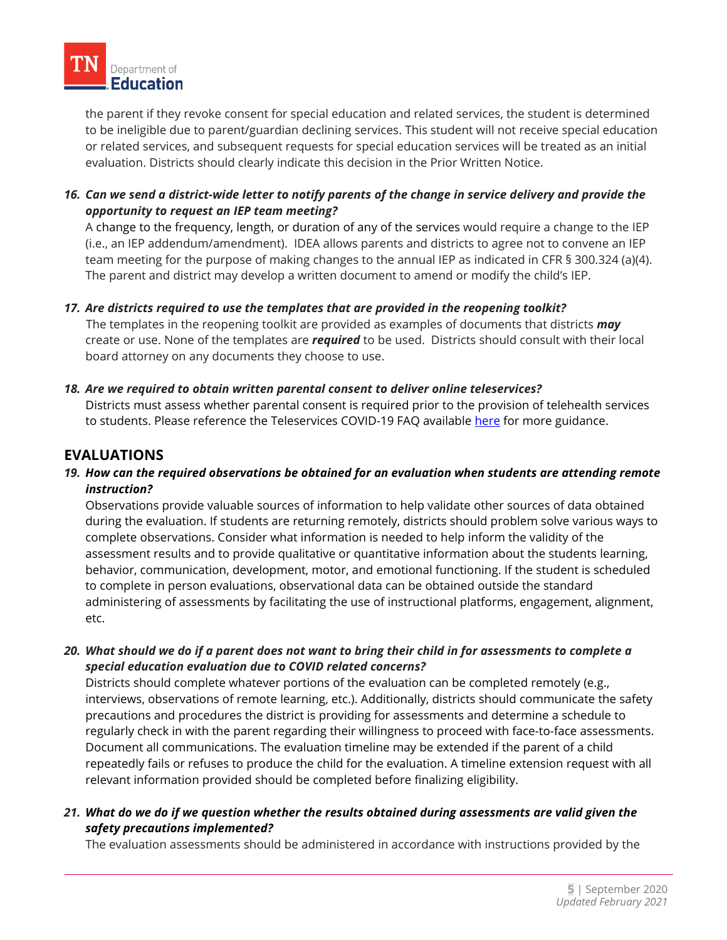the parent if they revoke consent for special education and related services, the student is determined to be ineligible due to parent/guardian declining services. This student will not receive special education or related services, and subsequent requests for special education services will be treated as an initial evaluation. Districts should clearly indicate this decision in the Prior Written Notice.

*16. Can we send a district-wide letter to notify parents of the change in service delivery and provide the opportunity to request an IEP team meeting?* 

A change to the frequency, length, or duration of any of the services would require a change to the IEP (i.e., an IEP addendum/amendment). IDEA allows parents and districts to agree not to convene an IEP team meeting for the purpose of making changes to the annual IEP as indicated in CFR § 300.324 (a)(4). The parent and district may develop a written document to amend or modify the child's IEP.

*17. Are districts required to use the templates that are provided in the reopening toolkit?*

 The templates in the reopening toolkit are provided as examples of documents that districts *may* create or use. None of the templates are *required* to be used. Districts should consult with their local board attorney on any documents they choose to use.

*18. Are we required to obtain written parental consent to deliver online teleservices?*

Districts must assess whether parental consent is required prior to the provision of telehealth services to students. Please reference the Teleservices COVID-19 FAQ available [here](https://www.tn.gov/content/dam/tn/education/special-education/eligibility/FAQTeleservices.pdf) for more guidance.

# **EVALUATIONS**

*19. How can the required observations be obtained for an evaluation when students are attending remote instruction?*

Observations provide valuable sources of information to help validate other sources of data obtained during the evaluation. If students are returning remotely, districts should problem solve various ways to complete observations. Consider what information is needed to help inform the validity of the assessment results and to provide qualitative or quantitative information about the students learning, behavior, communication, development, motor, and emotional functioning. If the student is scheduled to complete in person evaluations, observational data can be obtained outside the standard administering of assessments by facilitating the use of instructional platforms, engagement, alignment, etc.

*20. What should we do if a parent does not want to bring their child in for assessments to complete a special education evaluation due to COVID related concerns?*

Districts should complete whatever portions of the evaluation can be completed remotely (e.g., interviews, observations of remote learning, etc.). Additionally, districts should communicate the safety precautions and procedures the district is providing for assessments and determine a schedule to regularly check in with the parent regarding their willingness to proceed with face-to-face assessments. Document all communications. The evaluation timeline may be extended if the parent of a child repeatedly fails or refuses to produce the child for the evaluation. A timeline extension request with all relevant information provided should be completed before finalizing eligibility.

*21. What do we do if we question whether the results obtained during assessments are valid given the safety precautions implemented?*

The evaluation assessments should be administered in accordance with instructions provided by the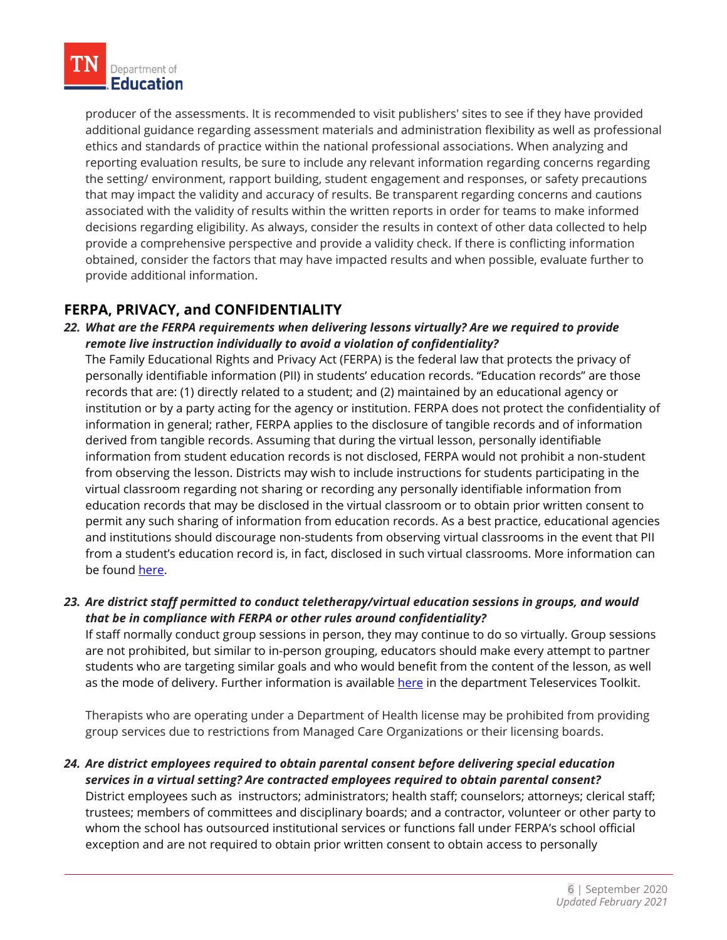producer of the assessments. It is recommended to visit publishers' sites to see if they have provided additional guidance regarding assessment materials and administration flexibility as well as professional ethics and standards of practice within the national professional associations. When analyzing and reporting evaluation results, be sure to include any relevant information regarding concerns regarding the setting/ environment, rapport building, student engagement and responses, or safety precautions that may impact the validity and accuracy of results. Be transparent regarding concerns and cautions associated with the validity of results within the written reports in order for teams to make informed decisions regarding eligibility. As always, consider the results in context of other data collected to help provide a comprehensive perspective and provide a validity check. If there is conflicting information obtained, consider the factors that may have impacted results and when possible, evaluate further to provide additional information.

# **FERPA, PRIVACY, and CONFIDENTIALITY**

*22. What are the FERPA requirements when delivering lessons virtually? Are we required to provide remote live instruction individually to avoid a violation of confidentiality?* 

The Family Educational Rights and Privacy Act (FERPA) is the federal law that protects the privacy of personally identifiable information (PII) in students' education records. "Education records" are those records that are: (1) directly related to a student; and (2) maintained by an educational agency or institution or by a party acting for the agency or institution. FERPA does not protect the confidentiality of information in general; rather, FERPA applies to the disclosure of tangible records and of information derived from tangible records. Assuming that during the virtual lesson, personally identifiable information from student education records is not disclosed, FERPA would not prohibit a non-student from observing the lesson. Districts may wish to include instructions for students participating in the virtual classroom regarding not sharing or recording any personally identifiable information from education records that may be disclosed in the virtual classroom or to obtain prior written consent to permit any such sharing of information from education records. As a best practice, educational agencies and institutions should discourage non-students from observing virtual classrooms in the event that PII from a student's education record is, in fact, disclosed in such virtual classrooms. More information can be found [here.](https://studentprivacy.ed.gov/sites/default/files/resource_document/file/FERPAandVirtualLearning.pdf)

# *23. Are district staff permitted to conduct teletherapy/virtual education sessions in groups, and would that be in compliance with FERPA or other rules around confidentiality?*

If staff normally conduct group sessions in person, they may continue to do so virtually. Group sessions are not prohibited, but similar to in-person grouping, educators should make every attempt to partner students who are targeting similar goals and who would benefit from the content of the lesson, as well as the mode of delivery. Further information is available [here](https://www.tn.gov/content/dam/tn/education/health-&-safety/Teleservices%20Toolkit.pdf) in the department Teleservices Toolkit.

Therapists who are operating under a Department of Health license may be prohibited from providing group services due to restrictions from Managed Care Organizations or their licensing boards.

*24. Are district employees required to obtain parental consent before delivering special education services in a virtual setting? Are contracted employees required to obtain parental consent?* District employees such as instructors; administrators; health staff; counselors; attorneys; clerical staff; trustees; members of committees and disciplinary boards; and a contractor, volunteer or other party to whom the school has outsourced institutional services or functions fall under FERPA's school official exception and are not required to obtain prior written consent to obtain access to personally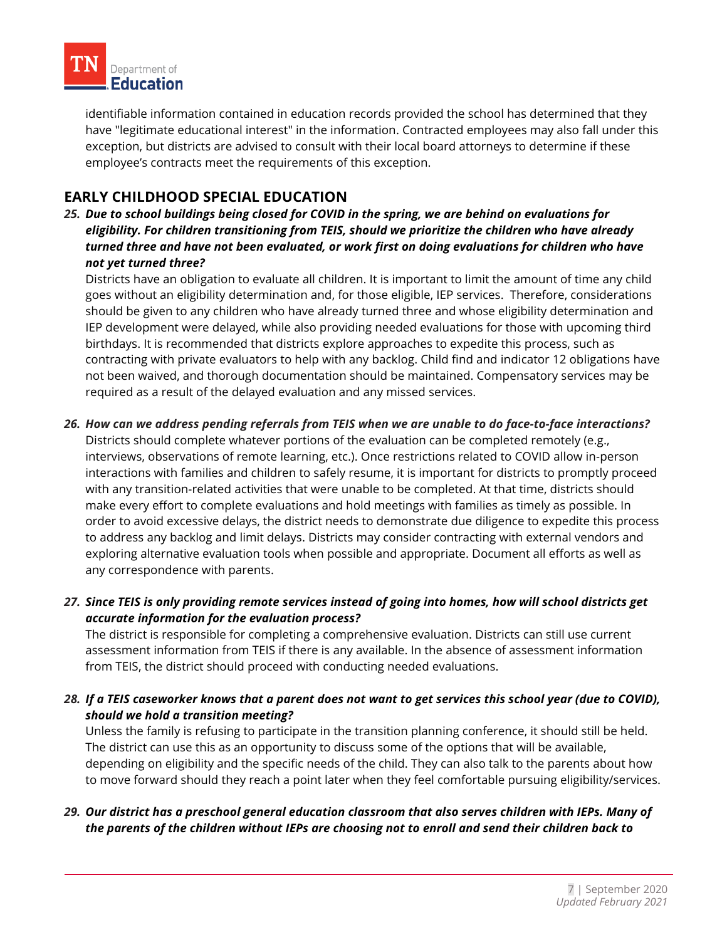

identifiable information contained in education records provided the school has determined that they have "legitimate educational interest" in the information. Contracted employees may also fall under this exception, but districts are advised to consult with their local board attorneys to determine if these employee's contracts meet the requirements of this exception.

# **EARLY CHILDHOOD SPECIAL EDUCATION**

*25. Due to school buildings being closed for COVID in the spring, we are behind on evaluations for eligibility. For children transitioning from TEIS, should we prioritize the children who have already turned three and have not been evaluated, or work first on doing evaluations for children who have not yet turned three?*

Districts have an obligation to evaluate all children. It is important to limit the amount of time any child goes without an eligibility determination and, for those eligible, IEP services. Therefore, considerations should be given to any children who have already turned three and whose eligibility determination and IEP development were delayed, while also providing needed evaluations for those with upcoming third birthdays. It is recommended that districts explore approaches to expedite this process, such as contracting with private evaluators to help with any backlog. Child find and indicator 12 obligations have not been waived, and thorough documentation should be maintained. Compensatory services may be required as a result of the delayed evaluation and any missed services.

*26. How can we address pending referrals from TEIS when we are unable to do face-to-face interactions?*

Districts should complete whatever portions of the evaluation can be completed remotely (e.g., interviews, observations of remote learning, etc.). Once restrictions related to COVID allow in-person interactions with families and children to safely resume, it is important for districts to promptly proceed with any transition-related activities that were unable to be completed. At that time, districts should make every effort to complete evaluations and hold meetings with families as timely as possible. In order to avoid excessive delays, the district needs to demonstrate due diligence to expedite this process to address any backlog and limit delays. Districts may consider contracting with external vendors and exploring alternative evaluation tools when possible and appropriate. Document all efforts as well as any correspondence with parents.

# *27. Since TEIS is only providing remote services instead of going into homes, how will school districts get accurate information for the evaluation process?*

The district is responsible for completing a comprehensive evaluation. Districts can still use current assessment information from TEIS if there is any available. In the absence of assessment information from TEIS, the district should proceed with conducting needed evaluations.

# *28. If a TEIS caseworker knows that a parent does not want to get services this school year (due to COVID), should we hold a transition meeting?*

Unless the family is refusing to participate in the transition planning conference, it should still be held. The district can use this as an opportunity to discuss some of the options that will be available, depending on eligibility and the specific needs of the child. They can also talk to the parents about how to move forward should they reach a point later when they feel comfortable pursuing eligibility/services.

# *29. Our district has a preschool general education classroom that also serves children with IEPs. Many of the parents of the children without IEPs are choosing not to enroll and send their children back to*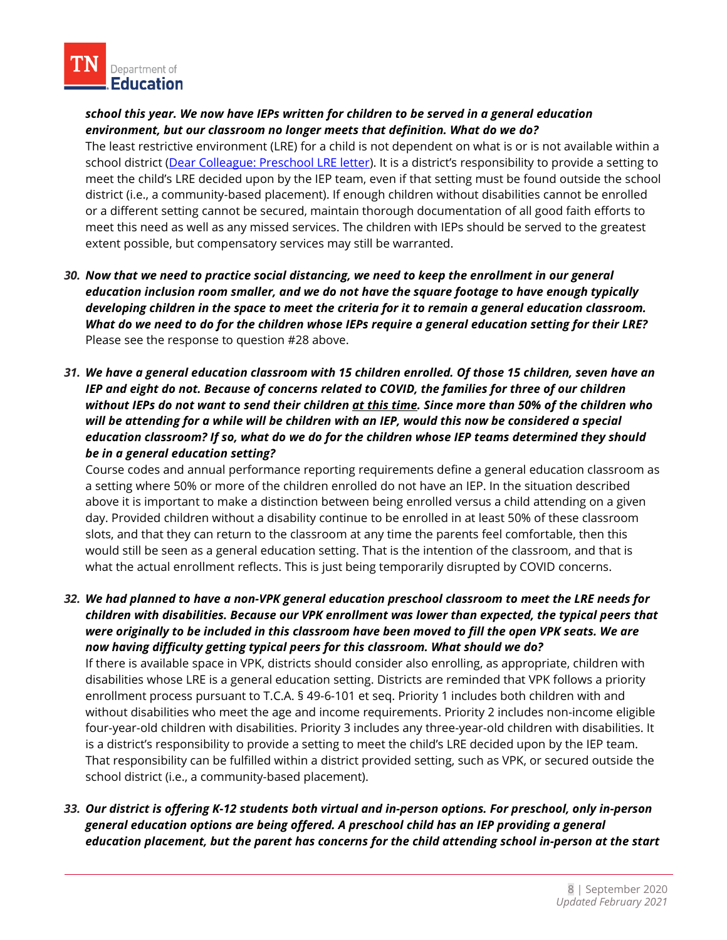*school this year. We now have IEPs written for children to be served in a general education environment, but our classroom no longer meets that definition. What do we do?*

The least restrictive environment (LRE) for a child is not dependent on what is or is not available within a school district [\(Dear Colleague: Preschool LRE letter\)](https://www2.ed.gov/policy/speced/guid/idea/memosdcltrs/preschool-lre-dcl-1-10-17.pdf). It is a district's responsibility to provide a setting to meet the child's LRE decided upon by the IEP team, even if that setting must be found outside the school district (i.e., a community-based placement). If enough children without disabilities cannot be enrolled or a different setting cannot be secured, maintain thorough documentation of all good faith efforts to meet this need as well as any missed services. The children with IEPs should be served to the greatest extent possible, but compensatory services may still be warranted.

- 30. Now that we need to practice social distancing, we need to keep the enrollment in our general *education inclusion room smaller, and we do not have the square footage to have enough typically developing children in the space to meet the criteria for it to remain a general education classroom. What do we need to do for the children whose IEPs require a general education setting for their LRE?* Please see the response to question #28 above.
- *31. We have a general education classroom with 15 children enrolled. Of those 15 children, seven have an IEP and eight do not. Because of concerns related to COVID, the families for three of our children without IEPs do not want to send their children at this time. Since more than 50% of the children who*  will be attending for a while will be children with an IEP, would this now be considered a special *education classroom? If so, what do we do for the children whose IEP teams determined they should be in a general education setting?*

Course codes and annual performance reporting requirements define a general education classroom as a setting where 50% or more of the children enrolled do not have an IEP. In the situation described above it is important to make a distinction between being enrolled versus a child attending on a given day. Provided children without a disability continue to be enrolled in at least 50% of these classroom slots, and that they can return to the classroom at any time the parents feel comfortable, then this would still be seen as a general education setting. That is the intention of the classroom, and that is what the actual enrollment reflects. This is just being temporarily disrupted by COVID concerns.

*32. We had planned to have a non-VPK general education preschool classroom to meet the LRE needs for children with disabilities. Because our VPK enrollment was lower than expected, the typical peers that were originally to be included in this classroom have been moved to fill the open VPK seats. We are now having difficulty getting typical peers for this classroom. What should we do?*

If there is available space in VPK, districts should consider also enrolling, as appropriate, children with disabilities whose LRE is a general education setting. Districts are reminded that VPK follows a priority enrollment process pursuant to T.C.A. § 49-6-101 et seq. Priority 1 includes both children with and without disabilities who meet the age and income requirements. Priority 2 includes non-income eligible four-year-old children with disabilities. Priority 3 includes any three-year-old children with disabilities. It is a district's responsibility to provide a setting to meet the child's LRE decided upon by the IEP team. That responsibility can be fulfilled within a district provided setting, such as VPK, or secured outside the school district (i.e., a community-based placement).

*33. Our district is offering K-12 students both virtual and in-person options. For preschool, only in-person general education options are being offered. A preschool child has an IEP providing a general education placement, but the parent has concerns for the child attending school in-person at the start*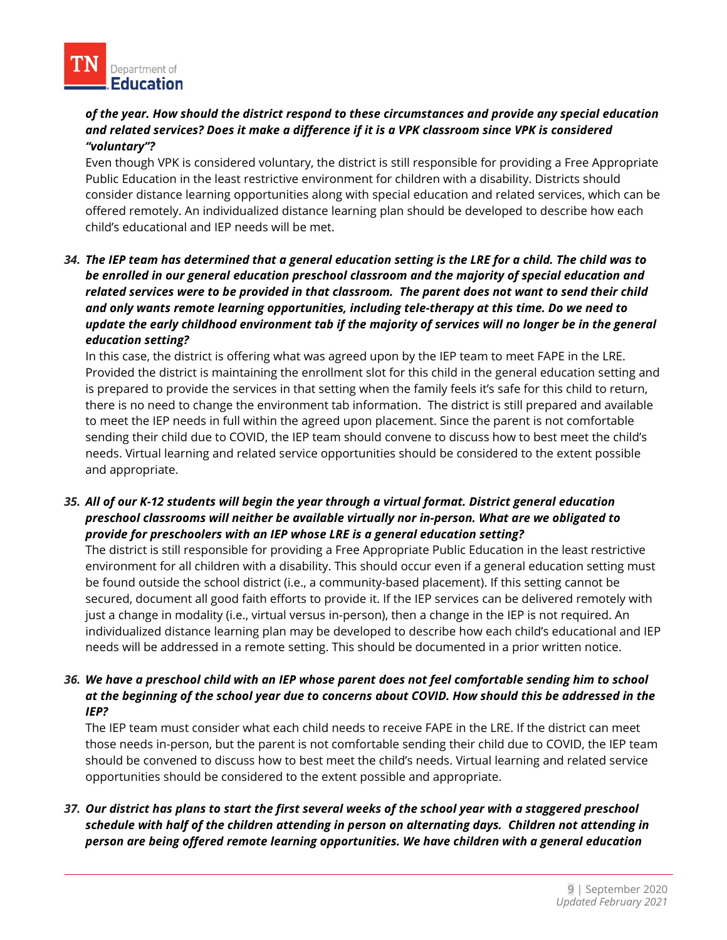#### *of the year. How should the district respond to these circumstances and provide any special education and related services? Does it make a difference if it is a VPK classroom since VPK is considered "voluntary"?*

Even though VPK is considered voluntary, the district is still responsible for providing a Free Appropriate Public Education in the least restrictive environment for children with a disability. Districts should consider distance learning opportunities along with special education and related services, which can be offered remotely. An individualized distance learning plan should be developed to describe how each child's educational and IEP needs will be met.

# *34. The IEP team has determined that a general education setting is the LRE for a child. The child was to be enrolled in our general education preschool classroom and the majority of special education and related services were to be provided in that classroom. The parent does not want to send their child and only wants remote learning opportunities, including tele-therapy at this time. Do we need to update the early childhood environment tab if the majority of services will no longer be in the general education setting?*

In this case, the district is offering what was agreed upon by the IEP team to meet FAPE in the LRE. Provided the district is maintaining the enrollment slot for this child in the general education setting and is prepared to provide the services in that setting when the family feels it's safe for this child to return, there is no need to change the environment tab information. The district is still prepared and available to meet the IEP needs in full within the agreed upon placement. Since the parent is not comfortable sending their child due to COVID, the IEP team should convene to discuss how to best meet the child's needs. Virtual learning and related service opportunities should be considered to the extent possible and appropriate.

# *35. All of our K-12 students will begin the year through a virtual format. District general education preschool classrooms will neither be available virtually nor in-person. What are we obligated to provide for preschoolers with an IEP whose LRE is a general education setting?*

The district is still responsible for providing a Free Appropriate Public Education in the least restrictive environment for all children with a disability. This should occur even if a general education setting must be found outside the school district (i.e., a community-based placement). If this setting cannot be secured, document all good faith efforts to provide it. If the IEP services can be delivered remotely with just a change in modality (i.e., virtual versus in-person), then a change in the IEP is not required. An individualized distance learning plan may be developed to describe how each child's educational and IEP needs will be addressed in a remote setting. This should be documented in a prior written notice.

# *36. We have a preschool child with an IEP whose parent does not feel comfortable sending him to school at the beginning of the school year due to concerns about COVID. How should this be addressed in the IEP?*

The IEP team must consider what each child needs to receive FAPE in the LRE. If the district can meet those needs in-person, but the parent is not comfortable sending their child due to COVID, the IEP team should be convened to discuss how to best meet the child's needs. Virtual learning and related service opportunities should be considered to the extent possible and appropriate.

# *37. Our district has plans to start the first several weeks of the school year with a staggered preschool schedule with half of the children attending in person on alternating days. Children not attending in person are being offered remote learning opportunities. We have children with a general education*